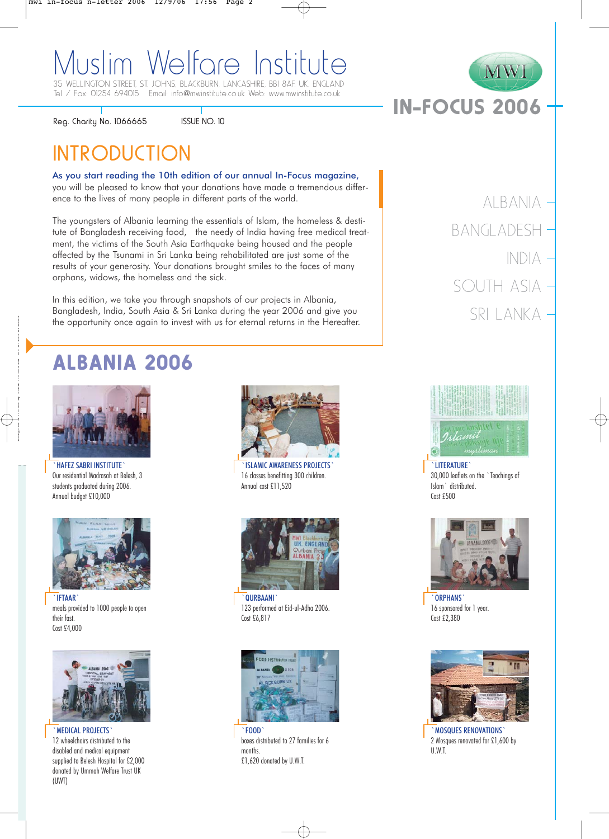## Muslim Welfare Institute 35 WELLINGTON STREET, ST. JOHNS, BLACKBURN. LANCASHIRF BBI 8AF LIK. ENGLAND

Tel / Fax: 01254 694015 Email: info@mwinstitute.co.uk Web: www.mwinstitute.co.uk

Reg. Charity No. 1066665

ISSUE NO. 10

# **INTRODUCTION**

As you start reading the 10th edition of our annual In-Focus magazine,

you will be pleased to know that your donations have made a tremendous difference to the lives of many people in different parts of the world.

The youngsters of Albania learning the essentials of Islam, the homeless & destitute of Bangladesh receiving food, the needy of India having free medical treatment, the victims of the South Asia Earthquake being housed and the people affected by the Tsunami in Sri Lanka being rehabilitated are just some of the results of your generosity. Your donations brought smiles to the faces of many orphans, widows, the homeless and the sick.

In this edition, we take you through snapshots of our projects in Albania, Bangladesh, India, South Asia & Sri Lanka during the year 2006 and give you the opportunity once again to invest with us for eternal returns in the Hereafter.

# ALBANIA 2006



`HAFEZ SABRI INSTITUTE` Our residential Madrasah at Belesh, 3 students graduated during 2006. Annual budget £10,000



`IFTAAR` meals provided to 1000 people to open their fast. Cost £4,000



`MEDICAL PROJECTS` 12 wheelchairs distributed to the disabled and medical equipment supplied to Belesh Hospital for £2,000 donated by Ummah Welfare Trust UK (UWT)



`ISLAMIC AWARENESS PROJECTS` 16 classes benefitting 300 children. Annual cost £11,520



**QURBAANI** 123 performed at Eid-ul-Adha 2006. Cost £6,817



boxes distributed to 27 families for 6 months. £1,620 donated by U.W.T.



IN-FOCUS 2006

MWI



`LITERATURE` 30,000 leaflets on the `Teachings of Islam` distributed. Cost £500



`ORPHANS` 16 sponsored for 1 year. Cost £2,380



`MOSQUES RENOVATIONS` 2 Mosques renovated for £1,600 by U.W.T.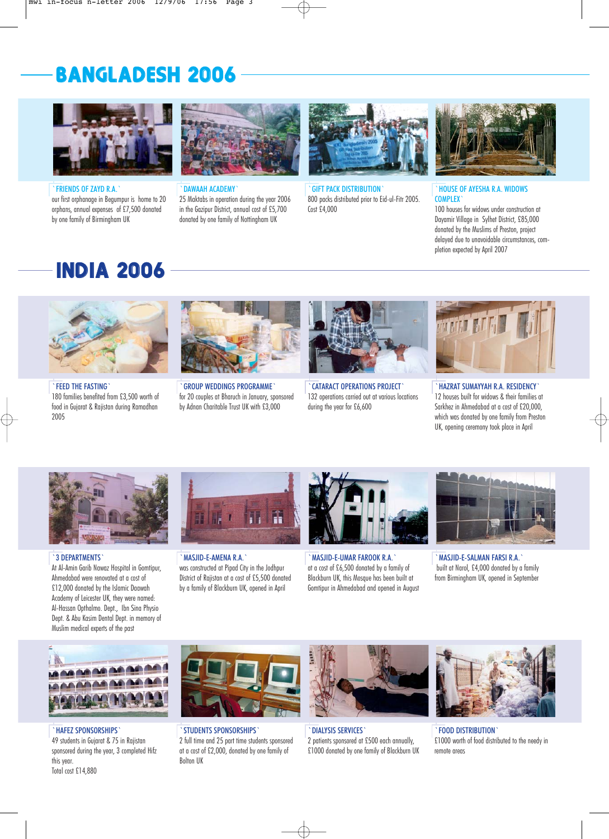# BANGLADESH 2006



`FRIENDS OF ZAYD R.A.` our first orphanage in Begumpur is home to 20 orphans, annual expenses of £7,500 donated by one family of Birmingham UK



`DAWAAH ACADEMY`

25 Maktabs in operation during the year 2006 in the Gazipur District, annual cost of £5,700 donated by one family of Nottingham UK



**GIFT PACK DISTRIBUTION** 800 packs distributed prior to Eid-ul-Fitr 2005. Cost £4,000



`HOUSE OF AYESHA R.A. WIDOWS **COMPLEX** 

100 houses for widows under construction at Dayamir Village in Sylhet District, £85,000 donated by the Muslims of Preston, project delayed due to unavoidable circumstances, completion expected by April 2007

# INDIA 2006



`FEED THE FASTING` 180 families benefited from £3,500 worth of food in Gujarat & Rajistan during Ramadhan 2005



`GROUP WEDDINGS PROGRAMME` for 20 couples at Bharuch in January, sponsored by Adnan Charitable Trust UK with £3,000



`CATARACT OPERATIONS PROJECT` 132 operations carried out at various locations during the year for £6,600



`HAZRAT SUMAYYAH R.A. RESIDENCY` 12 houses built for widows & their families at Sarkhez in Ahmedabad at a cost of £20,000, which was donated by one family from Preston UK, opening ceremony took place in April



### `3 DEPARTMENTS`

At Al-Amin Garib Nawaz Hospital in Gomtipur, Ahmedabad were renovated at a cost of £12,000 donated by the Islamic Daawah Academy of Leicester UK, they were named: Al-Hassan Opthalmo. Dept., Ibn Sina Physio Dept. & Abu Kasim Dental Dept. in memory of Muslim medical experts of the past



`MASJID-E-AMENA R.A.` was constructed at Pipad City in the Jodhpur District of Rajistan at a cost of £5,500 donated by a family of Blackburn UK, opened in April



`MASJID-E-UMAR FAROOK R.A.` at a cost of £6,500 donated by a family of Blackburn UK, this Mosque has been built at Gomtipur in Ahmedabad and opened in August



`MASJID-E-SALMAN FARSI R.A.` built at Narol, £4,000 donated by a family from Birmingham UK, opened in September



`HAFEZ SPONSORSHIPS` 49 students in Gujarat & 75 in Rajistan sponsored during the year, 3 completed Hifz this year. Total cost £14,880



`STUDENTS SPONSORSHIPS` 2 full time and 25 part time students sponsored at a cost of £2,000, donated by one family of Bolton UK



`DIALYSIS SERVICES` 2 patients sponsored at £500 each annually, £1000 donated by one family of Blackburn UK



`FOOD DISTRIBUTION` £1000 worth of food distributed to the needy in remote areas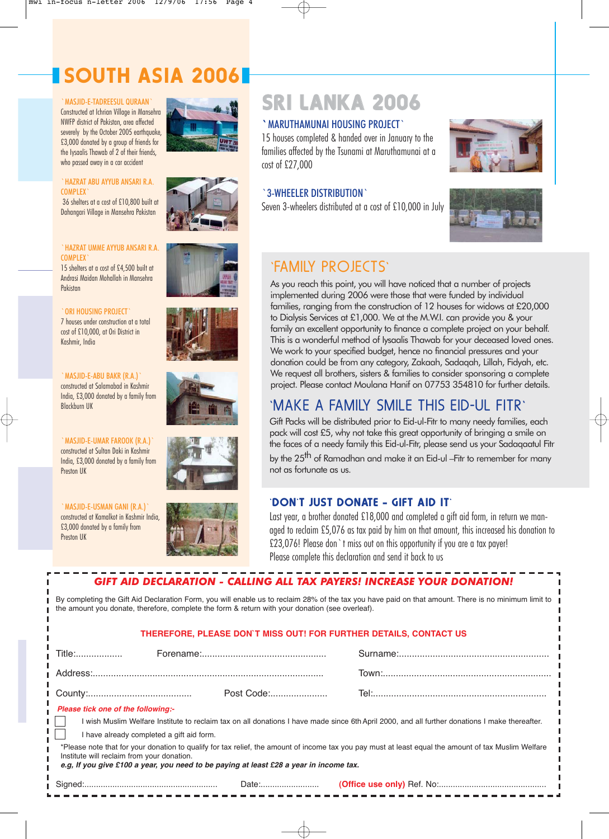# SOUTH ASIA 2006

#### `MASJID-E-TADREESUL QURAAN`

Constructed at Ichrian Village in Mansehra NWFP district of Pakistan, area affected severely by the October 2005 earthquake, £3,000 donated by a group of friends for the Iysaalis Thawab of 2 of their friends, who passed away in a car accident

#### `HAZRAT ABU AYYUB ANSARI R.A. COMPLEX`

36 shelters at a cost of £10,800 built at Dahangari Village in Mansehra Pakistan

### `HAZRAT UMME AYYUB ANSARI R.A. **COMPLEX**

15 shelters at a cost of £4,500 built at Andrasi Maidan Mohallah in Mansehra Pakistan

### `ORI HOUSING PROJECT`

7 houses under construction at a total cost of £10,000, at Ori District in Kashmir, India

#### `MASJID-E-ABU BAKR (R.A.)` constructed at Salamabad in Kashmir India, £3,000 donated by a family from Blackburn UK

` MASJID-E-UMAR FAROOK (R.A.) constructed at Sultan Daki in Kashmir India, £3,000 donated by a family from Preston IIK

`MASJID-E-USMAN GANI (R.A.)` constructed at Kamalkot in Kashmir India, £3,000 donated by a family from Preston UK











# SRI LANKA 2006

## `MARUTHAMUNAI HOUSING PROJECT`

15 houses completed & handed over in January to the families affected by the Tsunami at Maruthamunai at a cost of £27,000

### `3-WHEELER DISTRIBUTION`

Seven 3-wheelers distributed at a cost of £10,000 in July





## `FAMILY PROJECTS`

As you reach this point, you will have noticed that a number of projects implemented during 2006 were those that were funded by individual families, ranging from the construction of 12 houses for widows at £20,000 to Dialysis Services at £1,000. We at the M.W.I. can provide you & your family an excellent opportunity to finance a complete project on your behalf. This is a wonderful method of Iysaalis Thawab for your deceased loved ones. We work to your specified budget, hence no financial pressures and your donation could be from any category, Zakaah, Sadaqah, Lillah, Fidyah, etc. We request all brothers, sisters & families to consider sponsoring a complete project. Please contact Moulana Hanif on 07753 354810 for further details.

## `MAKE A FAMILY SMILE THIS EID-UL FITR`

Gift Packs will be distributed prior to Eid-ul-Fitr to many needy families, each pack will cost £5, why not take this great opportunity of bringing a smile on the faces of a needy family this Eid-ul-Fitr, please send us your Sadaqaatul Fitr by the 25<sup>th</sup> of Ramadhan and make it an Eid-ul –Fitr to remember for many not as fortunate as us.

### `DON`T JUST DONATE - GIFT AID IT`

Last year, a brother donated £18,000 and completed a gift aid form, in return we managed to reclaim £5,076 as tax paid by him on that amount, this increased his donation to £23,076! Please don`t miss out on this opportunity if you are a tax payer! Please complete this declaration and send it back to us

## *GIFT AID DECLARATION - CALLING ALL TAX PAYERS! INCREASE YOUR DONATION!* Title:.................. Forename:................................................ Surname:.......................................................... Address:......................................................................................... Town:................................................................. County:........................................ Post Code:...................... Tel:................................................................... By completing the Gift Aid Declaration Form, you will enable us to reclaim 28% of the tax you have paid on that amount. There is no minimum limit to the amount you donate, therefore, complete the form & return with your donation (see overleaf). **THEREFORE, PLEASE DON`T MISS OUT! FOR FURTHER DETAILS, CONTACT US**

## *Please tick one of the following:-*

л

| I wish Muslim Welfare Institute to reclaim tax on all donations I have made since 6th April 2000, and all further donations I make thereafter.       |  |
|------------------------------------------------------------------------------------------------------------------------------------------------------|--|
| I have already completed a gift aid form.                                                                                                            |  |
| llaces note that for vain denotion to qualify for tay ralief, the amount of income toy you now must at locat caught the amount of toy Muslim Walfers |  |

\*Please note that for your donation to qualify for tax relief, the amount of income tax you pay must at least equal the amount of tax Muslim Welfare Institute will reclaim from your donation.

*e.g, If you give £100 a year, you need to be paying at least £28 a year in income tax.*

Signed:......................................................... Date:.........................

**(Office use only)** Ref. No:..............................................